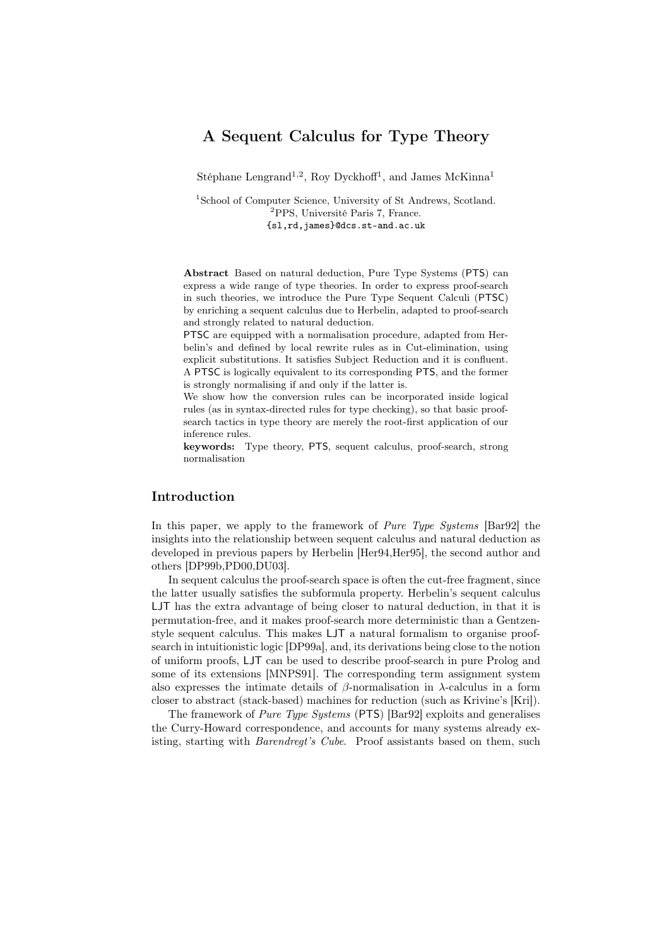# A Sequent Calculus for Type Theory

Stéphane Lengrand<sup>1,2</sup>, Roy Dyckhoff<sup>1</sup>, and James McKinna<sup>1</sup>

<sup>1</sup>School of Computer Science, University of St Andrews, Scotland. <sup>2</sup>PPS, Université Paris 7, France. {sl,rd,james}@dcs.st-and.ac.uk

Abstract Based on natural deduction, Pure Type Systems (PTS) can express a wide range of type theories. In order to express proof-search in such theories, we introduce the Pure Type Sequent Calculi (PTSC) by enriching a sequent calculus due to Herbelin, adapted to proof-search and strongly related to natural deduction.

PTSC are equipped with a normalisation procedure, adapted from Herbelin's and defined by local rewrite rules as in Cut-elimination, using explicit substitutions. It satisfies Subject Reduction and it is confluent. A PTSC is logically equivalent to its corresponding PTS, and the former is strongly normalising if and only if the latter is.

We show how the conversion rules can be incorporated inside logical rules (as in syntax-directed rules for type checking), so that basic proofsearch tactics in type theory are merely the root-first application of our inference rules.

keywords: Type theory, PTS, sequent calculus, proof-search, strong normalisation

# Introduction

In this paper, we apply to the framework of *Pure Type Systems* [Bar92] the insights into the relationship between sequent calculus and natural deduction as developed in previous papers by Herbelin [Her94,Her95], the second author and others [DP99b,PD00,DU03].

In sequent calculus the proof-search space is often the cut-free fragment, since the latter usually satisfies the subformula property. Herbelin's sequent calculus LJT has the extra advantage of being closer to natural deduction, in that it is permutation-free, and it makes proof-search more deterministic than a Gentzenstyle sequent calculus. This makes LJT a natural formalism to organise proofsearch in intuitionistic logic [DP99a], and, its derivations being close to the notion of uniform proofs, LJT can be used to describe proof-search in pure Prolog and some of its extensions [MNPS91]. The corresponding term assignment system also expresses the intimate details of  $\beta$ -normalisation in  $\lambda$ -calculus in a form closer to abstract (stack-based) machines for reduction (such as Krivine's [Kri]).

The framework of Pure Type Systems (PTS) [Bar92] exploits and generalises the Curry-Howard correspondence, and accounts for many systems already existing, starting with *Barendregt's Cube*. Proof assistants based on them, such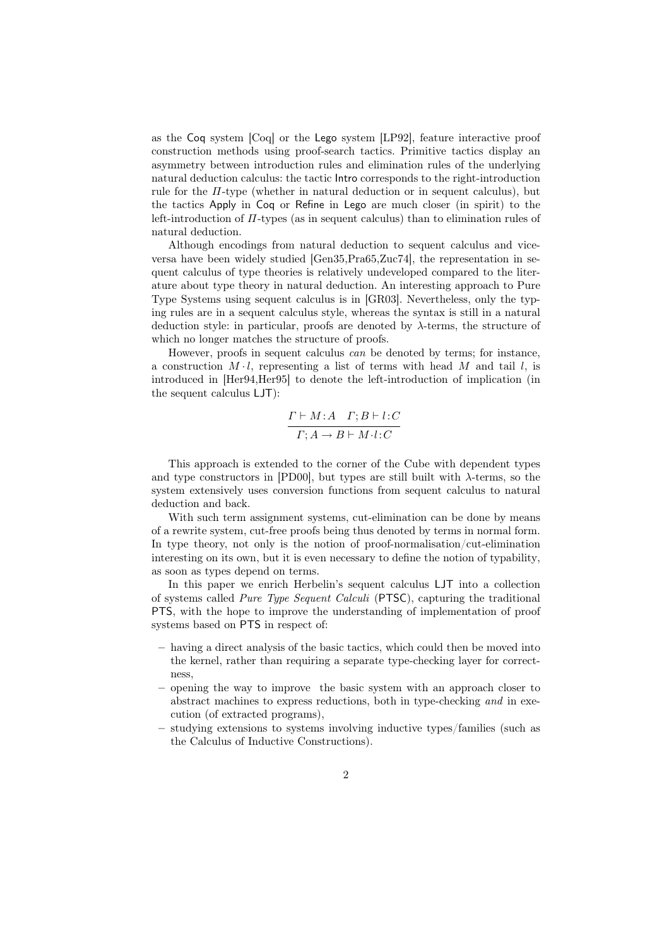as the Coq system [Coq] or the Lego system [LP92], feature interactive proof construction methods using proof-search tactics. Primitive tactics display an asymmetry between introduction rules and elimination rules of the underlying natural deduction calculus: the tactic Intro corresponds to the right-introduction rule for the  $\Pi$ -type (whether in natural deduction or in sequent calculus), but the tactics Apply in Coq or Refine in Lego are much closer (in spirit) to the left-introduction of Π-types (as in sequent calculus) than to elimination rules of natural deduction.

Although encodings from natural deduction to sequent calculus and viceversa have been widely studied [Gen35,Pra65,Zuc74], the representation in sequent calculus of type theories is relatively undeveloped compared to the literature about type theory in natural deduction. An interesting approach to Pure Type Systems using sequent calculus is in [GR03]. Nevertheless, only the typing rules are in a sequent calculus style, whereas the syntax is still in a natural deduction style: in particular, proofs are denoted by  $\lambda$ -terms, the structure of which no longer matches the structure of proofs.

However, proofs in sequent calculus *can* be denoted by terms; for instance, a construction  $M \cdot l$ , representing a list of terms with head M and tail l, is introduced in [Her94,Her95] to denote the left-introduction of implication (in the sequent calculus LJT):

$$
\frac{\Gamma \vdash M:A \quad \Gamma; B \vdash l:C}{\Gamma; A \rightarrow B \vdash M \cdot l:C}
$$

This approach is extended to the corner of the Cube with dependent types and type constructors in [PD00], but types are still built with  $\lambda$ -terms, so the system extensively uses conversion functions from sequent calculus to natural deduction and back.

With such term assignment systems, cut-elimination can be done by means of a rewrite system, cut-free proofs being thus denoted by terms in normal form. In type theory, not only is the notion of proof-normalisation/cut-elimination interesting on its own, but it is even necessary to define the notion of typability, as soon as types depend on terms.

In this paper we enrich Herbelin's sequent calculus LJT into a collection of systems called Pure Type Sequent Calculi (PTSC), capturing the traditional PTS, with the hope to improve the understanding of implementation of proof systems based on PTS in respect of:

- having a direct analysis of the basic tactics, which could then be moved into the kernel, rather than requiring a separate type-checking layer for correctness,
- opening the way to improve the basic system with an approach closer to abstract machines to express reductions, both in type-checking and in execution (of extracted programs),
- studying extensions to systems involving inductive types/families (such as the Calculus of Inductive Constructions).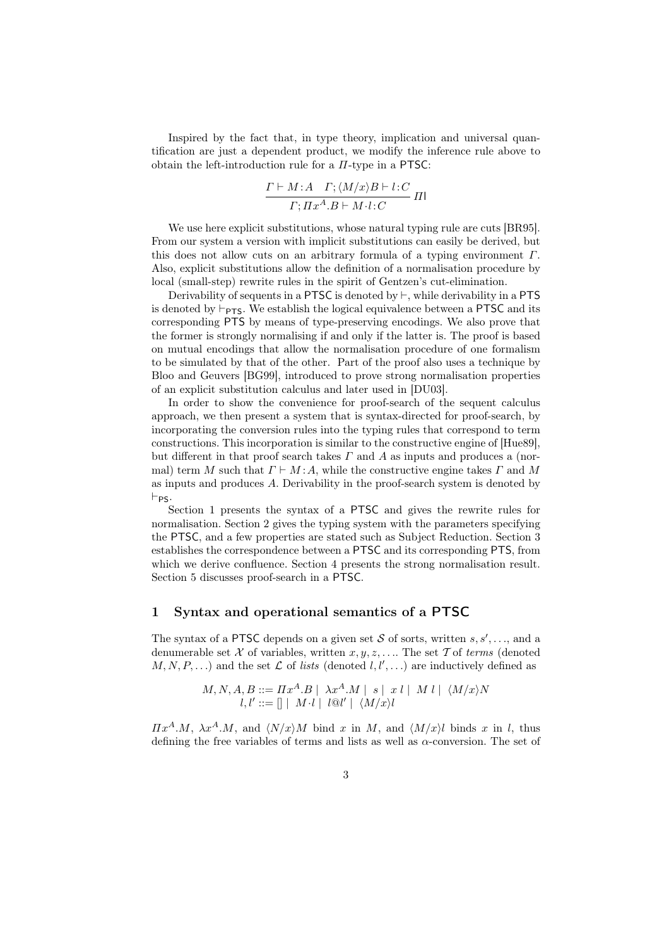Inspired by the fact that, in type theory, implication and universal quantification are just a dependent product, we modify the inference rule above to obtain the left-introduction rule for a  $\Pi$ -type in a PTSC:

$$
\frac{\Gamma \vdash M:A \quad \Gamma; \langle M/x \rangle B \vdash l:C}{\Gamma; \Pi x^A.B \vdash M \cdot l:C} \Pi
$$

We use here explicit substitutions, whose natural typing rule are cuts [BR95]. From our system a version with implicit substitutions can easily be derived, but this does not allow cuts on an arbitrary formula of a typing environment  $\Gamma$ . Also, explicit substitutions allow the definition of a normalisation procedure by local (small-step) rewrite rules in the spirit of Gentzen's cut-elimination.

Derivability of sequents in a PTSC is denoted by  $\vdash$ , while derivability in a PTS is denoted by  $\vdash_{PTS}$ . We establish the logical equivalence between a PTSC and its corresponding PTS by means of type-preserving encodings. We also prove that the former is strongly normalising if and only if the latter is. The proof is based on mutual encodings that allow the normalisation procedure of one formalism to be simulated by that of the other. Part of the proof also uses a technique by Bloo and Geuvers [BG99], introduced to prove strong normalisation properties of an explicit substitution calculus and later used in [DU03].

In order to show the convenience for proof-search of the sequent calculus approach, we then present a system that is syntax-directed for proof-search, by incorporating the conversion rules into the typing rules that correspond to term constructions. This incorporation is similar to the constructive engine of [Hue89], but different in that proof search takes  $\Gamma$  and  $\Lambda$  as inputs and produces a (normal) term M such that  $\Gamma \vdash M : A$ , while the constructive engine takes  $\Gamma$  and M as inputs and produces A. Derivability in the proof-search system is denoted by  $F_{PS}$ .

Section 1 presents the syntax of a PTSC and gives the rewrite rules for normalisation. Section 2 gives the typing system with the parameters specifying the PTSC, and a few properties are stated such as Subject Reduction. Section 3 establishes the correspondence between a PTSC and its corresponding PTS, from which we derive confluence. Section 4 presents the strong normalisation result. Section 5 discusses proof-search in a PTSC.

## 1 Syntax and operational semantics of a PTSC

The syntax of a PTSC depends on a given set S of sorts, written  $s, s', \ldots$ , and a denumerable set X of variables, written  $x, y, z, \ldots$  The set T of terms (denoted  $M, N, P, \ldots$ ) and the set  $\mathcal L$  of lists (denoted  $l, l', \ldots$ ) are inductively defined as

$$
M, N, A, B ::= \Pi x^A \cdot B \mid \lambda x^A \cdot M \mid s \mid x \mid M \mid \langle M/x \rangle N
$$
  

$$
l, l' ::= [] \mid M \cdot l \mid l \circledcirc l' \mid \langle M/x \rangle l
$$

 $\prod x^A \cdot M$ ,  $\lambda x^A \cdot M$ , and  $\langle N/x \rangle M$  bind x in M, and  $\langle M/x \rangle l$  binds x in l, thus defining the free variables of terms and lists as well as  $\alpha$ -conversion. The set of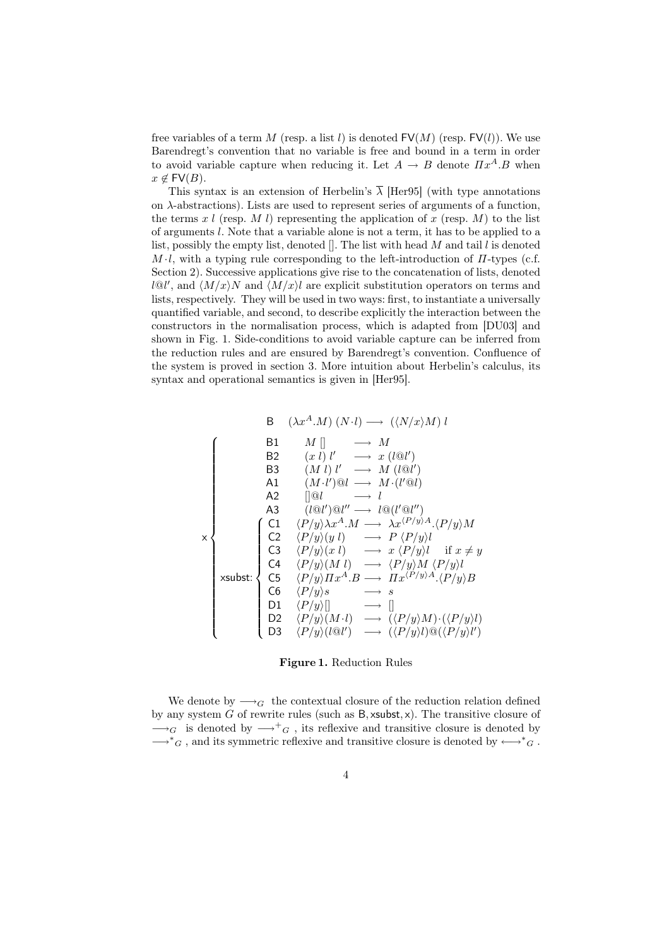free variables of a term M (resp. a list l) is denoted  $\mathsf{FV}(M)$  (resp.  $\mathsf{FV}(l)$ ). We use Barendregt's convention that no variable is free and bound in a term in order to avoid variable capture when reducing it. Let  $A \to B$  denote  $\Pi x^A$ . B when  $x \notin FV(B)$ .

This syntax is an extension of Herbelin's  $\overline{\lambda}$  [Herg5] (with type annotations on  $\lambda$ -abstractions). Lists are used to represent series of arguments of a function, the terms  $x l$  (resp. M l) representing the application of  $x$  (resp. M) to the list of arguments l. Note that a variable alone is not a term, it has to be applied to a list, possibly the empty list, denoted  $[]$ . The list with head M and tail l is denoted  $M \cdot l$ , with a typing rule corresponding to the left-introduction of  $\Pi$ -types (c.f. Section 2). Successive applications give rise to the concatenation of lists, denoted  $l@l'$ , and  $\langle M/x \rangle N$  and  $\langle M/x \rangle l$  are explicit substitution operators on terms and lists, respectively. They will be used in two ways: first, to instantiate a universally quantified variable, and second, to describe explicitly the interaction between the constructors in the normalisation process, which is adapted from [DU03] and shown in Fig. 1. Side-conditions to avoid variable capture can be inferred from the reduction rules and are ensured by Barendregt's convention. Confluence of the system is proved in section 3. More intuition about Herbelin's calculus, its syntax and operational semantics is given in [Her95].

B 
$$
(\lambda x^A.M)(N \cdot l) \rightarrow (\langle N/x \rangle M) l
$$
  
\nB1  $M \parallel \rightarrow M$   
\nB2  $(x l) l' \rightarrow x (l@l')$   
\nB3  $(M l) l' \rightarrow M (l@l')$   
\nA1  $(M \cdot l')@l \rightarrow M \cdot (l'@l)$   
\nA2  $[\parallel @l \rightarrow l$   
\nA3  $(l@l')@l'' \rightarrow l@(l'@l'')$   
\nC1  $\langle P/y \rangle \lambda x^A.M \rightarrow \lambda x^{(P/y)A} \cdot \langle P/y \rangle M$   
\nC2  $\langle P/y \rangle (y l) \rightarrow P \langle P/y \rangle l$   
\nC3  $\langle P/y \rangle (x l) \rightarrow x \langle P/y \rangle l$  if  $x \neq y$   
\nC4  $\langle P/y \rangle (M l) \rightarrow \langle P/y \rangle M \langle P/y \rangle l$   
\nC5  $\langle P/y \rangle I x^A.B \rightarrow I x^{(P/y)A} \cdot \langle P/y \rangle B$   
\nC6  $\langle P/y \rangle B \rightarrow s$   
\nD1  $\langle P/y \rangle [$   $\rightarrow$   $\parallel$   
\nD2  $\langle P/y \rangle (M \cdot l) \rightarrow (\langle P/y \rangle M) \cdot (\langle P/y \rangle l)$   
\nD3  $\langle P/y \rangle (l@l') \rightarrow (\langle P/y \rangle l) @(\langle P/y \rangle l')$ 

Figure 1. Reduction Rules

We denote by  $\longrightarrow_G$  the contextual closure of the reduction relation defined by any system  $G$  of rewrite rules (such as  $B$ , xsubst, x). The transitive closure of  $\longrightarrow_G$  is denoted by  $\longrightarrow^+_G$ , its reflexive and transitive closure is denoted by  $\longrightarrow^*_{\cal G}$  , and its symmetric reflexive and transitive closure is denoted by  $\longleftrightarrow^*_{\cal G}$  .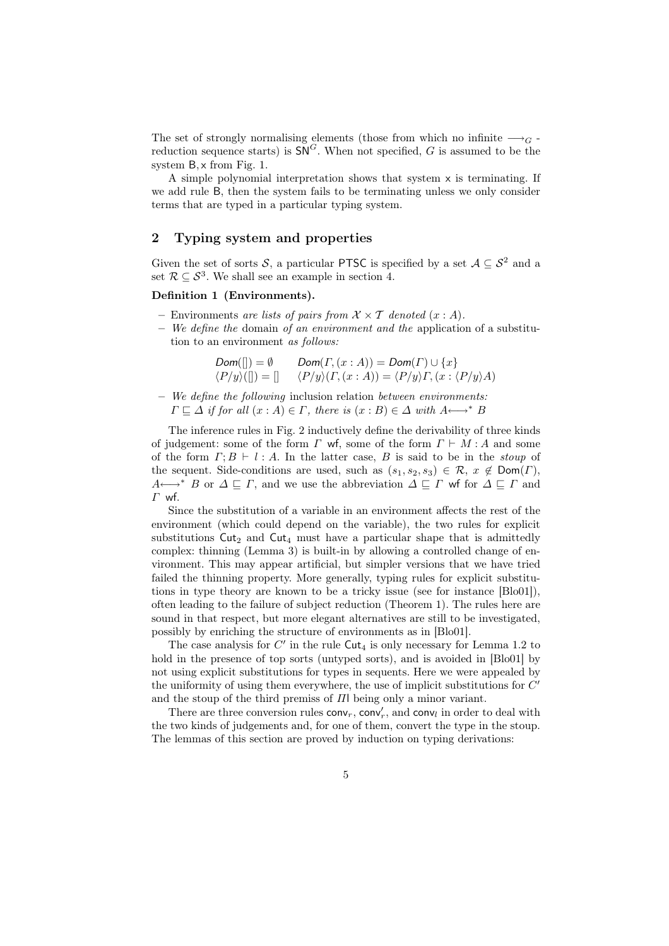The set of strongly normalising elements (those from which no infinite  $\rightarrow_G$ reduction sequence starts) is  $\overline{SN}^G$ . When not specified, G is assumed to be the system B, x from Fig. 1.

A simple polynomial interpretation shows that system x is terminating. If we add rule B, then the system fails to be terminating unless we only consider terms that are typed in a particular typing system.

### 2 Typing system and properties

Given the set of sorts S, a particular PTSC is specified by a set  $A \subseteq S^2$  and a set  $\mathcal{R} \subseteq \mathcal{S}^3$ . We shall see an example in section 4.

# Definition 1 (Environments).

- Environments are lists of pairs from  $\mathcal{X} \times \mathcal{T}$  denoted  $(x : A)$ .
- We define the domain of an environment and the application of a substitution to an environment as follows:

$$
Dom([[) = \emptyset \qquad Dom(\Gamma, (x : A)) = Dom(\Gamma) \cup \{x\}
$$
  

$$
\langle P/y \rangle([[) = [] \qquad \langle P/y \rangle(\Gamma, (x : A)) = \langle P/y \rangle \Gamma, (x : \langle P/y \rangle A)
$$

– We define the following inclusion relation between environments:  $\Gamma \sqsubseteq \Delta$  if for all  $(x : A) \in \Gamma$ , there is  $(x : B) \in \Delta$  with  $A \rightarrow^* B$ 

The inference rules in Fig. 2 inductively define the derivability of three kinds of judgement: some of the form  $\Gamma$  wf, some of the form  $\Gamma \vdash M : A$  and some of the form  $\Gamma$ ;  $B \vdash l : A$ . In the latter case, B is said to be in the stoup of the sequent. Side-conditions are used, such as  $(s_1, s_2, s_3) \in \mathcal{R}$ ,  $x \notin \text{Dom}(\Gamma)$ ,  $A \longrightarrow^* B$  or  $\Delta \sqsubseteq \Gamma$ , and we use the abbreviation  $\Delta \sqsubseteq \Gamma$  wf for  $\Delta \sqsubseteq \Gamma$  and Γ wf.

Since the substitution of a variable in an environment affects the rest of the environment (which could depend on the variable), the two rules for explicit substitutions  $\text{Cut}_2$  and  $\text{Cut}_4$  must have a particular shape that is admittedly complex: thinning (Lemma 3) is built-in by allowing a controlled change of environment. This may appear artificial, but simpler versions that we have tried failed the thinning property. More generally, typing rules for explicit substitutions in type theory are known to be a tricky issue (see for instance [Blo01]), often leading to the failure of subject reduction (Theorem 1). The rules here are sound in that respect, but more elegant alternatives are still to be investigated, possibly by enriching the structure of environments as in [Blo01].

The case analysis for  $C'$  in the rule  $\textsf{Cut}_4$  is only necessary for Lemma 1.2 to hold in the presence of top sorts (untyped sorts), and is avoided in [Blo01] by not using explicit substitutions for types in sequents. Here we were appealed by the uniformity of using them everywhere, the use of implicit substitutions for  $C'$ and the stoup of the third premiss of  $\Pi$  being only a minor variant.

There are three conversion rules  $conv_r$ ,  $conv'_r$ , and  $conv_l$  in order to deal with the two kinds of judgements and, for one of them, convert the type in the stoup. The lemmas of this section are proved by induction on typing derivations: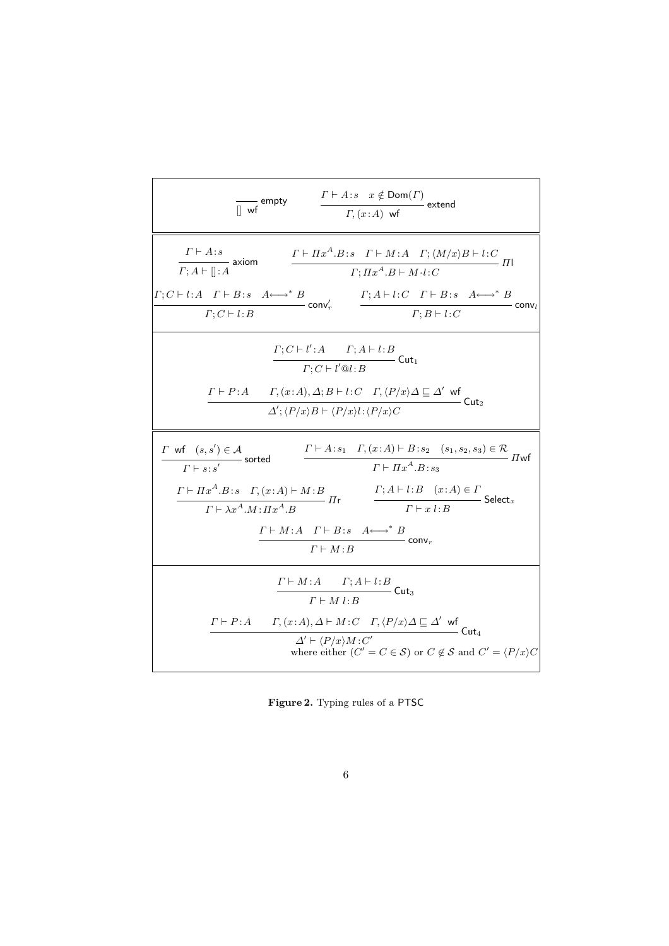$$
\frac{\Box}{\Box} \text{wf} \text{empty} \qquad \frac{\Gamma \vdash A : s \quad x \notin \text{Dom}(I^{\prime})}{\Gamma, (x:A) \text{ wf}} \text{extend}
$$
\n
$$
\frac{\Gamma \vdash A : s}{\Gamma; A \vdash \Box A} \text{ axiom} \qquad \frac{\Gamma \vdash \Pi x^{A}.B : s \quad \Gamma \vdash M : A \quad \Gamma; \langle M/x \rangle B \vdash l : C}{\Gamma; \Pi x^{A}.B \vdash M \cdot l : C} \Pi
$$
\n
$$
\frac{\Gamma; C \vdash l : A \quad \Gamma \vdash B : s \quad A \longmapsto^{*} B}{\Gamma; C \vdash l : B} \text{conv}'_{r} \qquad \frac{\Gamma; A \vdash l : C \quad \Gamma \vdash B : s \quad A \longmapsto^{*} B}{\Gamma; B \vdash l : C} \text{conv}'_{l}
$$
\n
$$
\frac{\Gamma; C \vdash l' : A \quad \Gamma; A \vdash l : B}{\Gamma; C \vdash l' @ l : B} \text{Cut}_{1}
$$
\n
$$
\frac{\Gamma \vdash P : A \quad \Gamma, (x:A), \Delta; B \vdash l : C \quad \Gamma, \langle P/x \rangle \Delta \sqsubseteq \Delta' \text{ wf}}{\Delta'; \langle P/x \rangle B \vdash \langle P/x \rangle l : \langle P/x \rangle C} \text{Cut}_{2}
$$
\n
$$
\frac{\Gamma \text{ wf} \quad (s, s') \in A}{\Gamma \vdash s : s'} \text{sorted} \qquad \frac{\Gamma \vdash A : s_{1} \quad \Gamma, (x:A) \vdash B : s_{2} \quad (s_{1}, s_{2}, s_{3}) \in \mathcal{R}}{\Gamma \vdash s : s'} \text{Hwf}
$$
\n
$$
\frac{\Gamma \vdash H x^{A}.B : s \quad \Gamma, (x:A) \vdash M : B}{\Gamma \vdash x^{A}.B} \text{In} \qquad \frac{\Gamma; A \vdash l : B \quad (x:A) \in \Gamma}{\Gamma \vdash x \cdot l : B} \text{Select}_{r}
$$
\n
$$
\frac{\Gamma \vdash M : A \quad \Gamma; A \vdash l : B}{\Gamma \vdash M : B} \text{Cut}_{3}
$$
\n
$$
\frac{\Gamma \vdash M : A \quad \Gamma; A \vdash l : B}{\Gamma \vdash M : B} \text{Cut}_{3}
$$
\n<math display="block</math>

Figure 2. Typing rules of a PTSC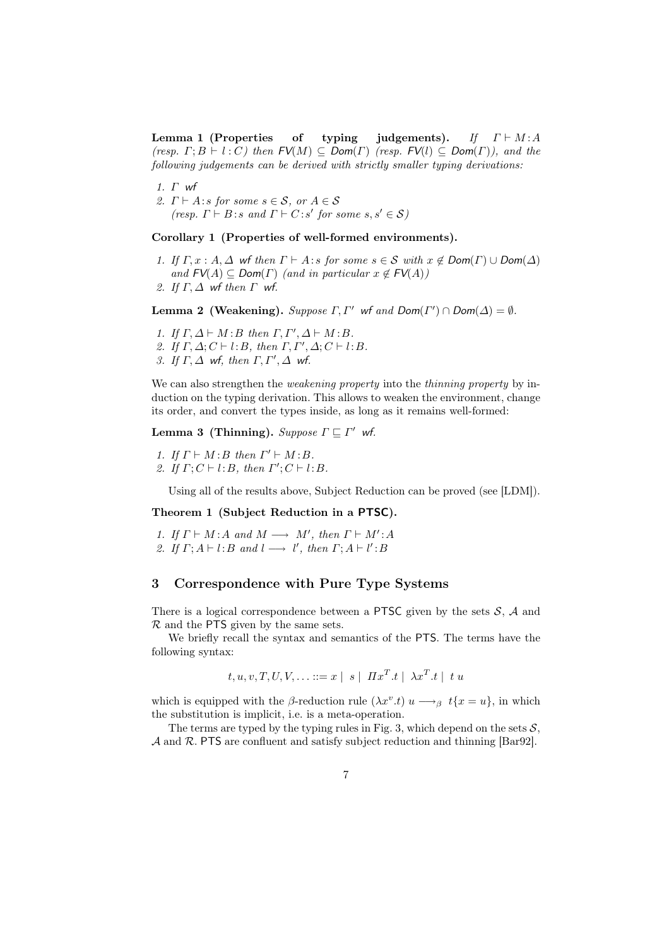Lemma 1 (Properties of typing judgements). If  $\Gamma \vdash M : A$ (resp.  $\Gamma; B \vdash l : C$ ) then  $\mathsf{FV}(M) \subseteq \mathsf{Dom}(\Gamma)$  (resp.  $\mathsf{FV}(l) \subseteq \mathsf{Dom}(\Gamma)$ ), and the following judgements can be derived with strictly smaller typing derivations:

1. Γ wf

2.  $\Gamma \vdash A$ : s for some  $s \in \mathcal{S}$ , or  $A \in \mathcal{S}$ 

(resp.  $\Gamma \vdash B$ :s and  $\Gamma \vdash C$ :s' for some  $s, s' \in S$ )

### Corollary 1 (Properties of well-formed environments).

- 1. If  $\Gamma, x : A, \Delta$  wf then  $\Gamma \vdash A : s$  for some  $s \in \mathcal{S}$  with  $x \notin \text{Dom}(\Gamma) \cup \text{Dom}(\Delta)$ and  $\mathsf{FV}(A) \subseteq \mathsf{Dom}(\Gamma)$  (and in particular  $x \notin \mathsf{FV}(A)$ )
- 2. If  $\Gamma$ ,  $\Delta$  wf then  $\Gamma$  wf.

**Lemma 2 (Weakening).** Suppose  $\Gamma, \Gamma'$  wf and  $Dom(\Gamma') \cap Dom(\Delta) = \emptyset$ .

1. If  $\Gamma, \Delta \vdash M : B$  then  $\Gamma, \Gamma', \Delta \vdash M : B$ . 2. If  $\Gamma$ ,  $\Delta$ ;  $C \vdash l:B$ , then  $\Gamma$ ,  $\Gamma'$ ,  $\Delta$ ;  $C \vdash l:B$ . 3. If  $\Gamma, \Delta$  wf, then  $\Gamma, \Gamma', \Delta$  wf.

We can also strengthen the *weakening property* into the *thinning property* by induction on the typing derivation. This allows to weaken the environment, change its order, and convert the types inside, as long as it remains well-formed:

## Lemma 3 (Thinning). Suppose  $\Gamma \sqsubseteq \Gamma'$  wf.

1. If  $\Gamma \vdash M : B$  then  $\Gamma' \vdash M : B$ . 2. If  $\Gamma; C \vdash l:B$ , then  $\Gamma'; C \vdash l:B$ .

Using all of the results above, Subject Reduction can be proved (see [LDM]).

## Theorem 1 (Subject Reduction in a PTSC).

1. If  $\Gamma \vdash M : A$  and  $M \longrightarrow M'$ , then  $\Gamma \vdash M' : A$ 2. If  $\Gamma; A \vdash l : B \text{ and } l \longrightarrow l'$ , then  $\Gamma; A \vdash l' : B$ 

## 3 Correspondence with Pure Type Systems

There is a logical correspondence between a PTSC given by the sets  $S$ ,  $A$  and  $\mathcal R$  and the PTS given by the same sets.

We briefly recall the syntax and semantics of the PTS. The terms have the following syntax:

$$
t, u, v, T, U, V, \ldots ::= x \mid s \mid \Pi x^T \cdot t \mid \lambda x^T \cdot t \mid t u
$$

which is equipped with the  $\beta$ -reduction rule  $(\lambda x^v \cdot t) u \longrightarrow_\beta t\{x = u\}$ , in which the substitution is implicit, i.e. is a meta-operation.

The terms are typed by the typing rules in Fig. 3, which depend on the sets  $S$ ,  $\mathcal A$  and  $\mathcal R$ . PTS are confluent and satisfy subject reduction and thinning [Bar92].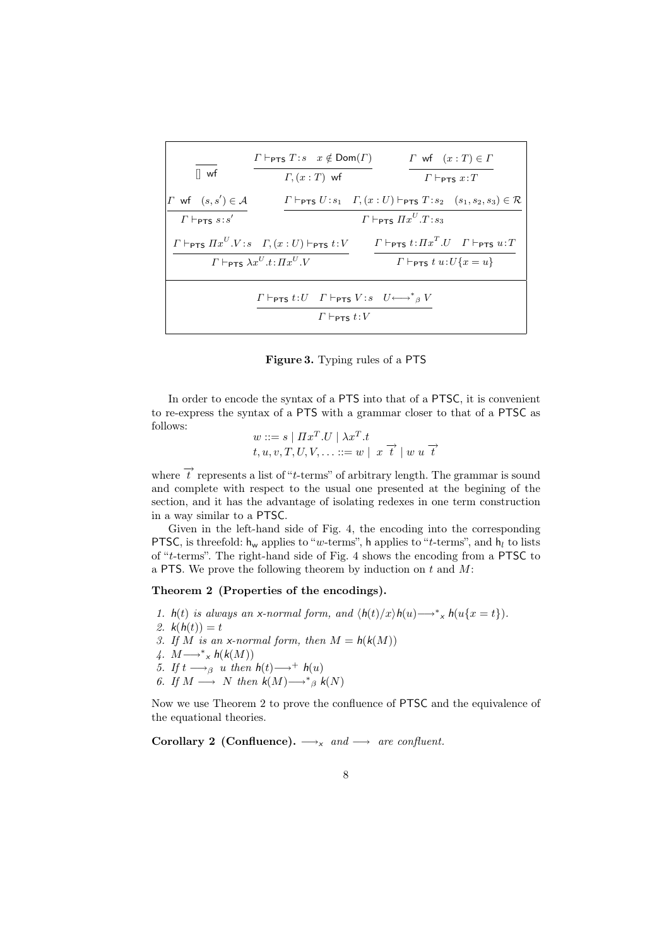| $\Box$ wf                                                                                                                                                                                                                                                                                            | $\Gamma \vdash_{\mathsf{PTS}} T : s \quad x \notin \mathsf{Dom}(\Gamma)$<br>$\Gamma,(x:T)$ wf                                                              |                                                                                                                                                                                          | $\Gamma$ wf $(x:T) \in \Gamma$<br>$\Gamma \vdash_{\mathsf{PTS}} x:T$ |
|------------------------------------------------------------------------------------------------------------------------------------------------------------------------------------------------------------------------------------------------------------------------------------------------------|------------------------------------------------------------------------------------------------------------------------------------------------------------|------------------------------------------------------------------------------------------------------------------------------------------------------------------------------------------|----------------------------------------------------------------------|
| T wf $(s, s') \in \mathcal{A}$<br>$\Gamma\vdash_{\mathsf{PTS}} s:s'$                                                                                                                                                                                                                                 |                                                                                                                                                            | $\Gamma \vdash_{\mathsf{PTS}} U : s_1 \quad \Gamma, (x : U) \vdash_{\mathsf{PTS}} T : s_2 \quad (s_1, s_2, s_3) \in \mathcal{R}$<br>$\Gamma \vdash_{\mathsf{PTS}} \Pi x^U \cdot T : s_3$ |                                                                      |
| $\Gamma \vdash_{\mathsf{PTS}} t : \Pi x^T . U \quad \Gamma \vdash_{\mathsf{PTS}} u : T$<br>$\Gamma \vdash_{\mathsf{PTS}} \Pi x^U . V : s \quad \Gamma, (x : U) \vdash_{\mathsf{PTS}} t : V$<br>$\Gamma \vdash_{\mathsf{PTS}} \lambda x^U.t : \Pi x^U.V$<br>$\Gamma$ $\vdash$ $\Pr$ $t u: U\{x = u\}$ |                                                                                                                                                            |                                                                                                                                                                                          |                                                                      |
|                                                                                                                                                                                                                                                                                                      | $\Gamma \vdash_{\mathsf{PTS}} t: U \quad \Gamma \vdash_{\mathsf{PTS}} V: s \quad U \longleftrightarrow^* {}_{\beta} V$<br>$\Gamma\vdash_{\mathsf{PTS}}t:V$ |                                                                                                                                                                                          |                                                                      |

Figure 3. Typing rules of a PTS

In order to encode the syntax of a PTS into that of a PTSC, it is convenient to re-express the syntax of a PTS with a grammar closer to that of a PTSC as follows:

 $w ::= s \mid Hx^T \cdot U \mid \lambda x^T \cdot t$  $t, u, v, T, U, V, \ldots ::= w \mid x \mid w \mid u \mid t$ 

where  $\overrightarrow{t}$  represents a list of "t-terms" of arbitrary length. The grammar is sound and complete with respect to the usual one presented at the begining of the section, and it has the advantage of isolating redexes in one term construction in a way similar to a PTSC.

Given in the left-hand side of Fig. 4, the encoding into the corresponding PTSC, is threefold:  $h_w$  applies to "w-terms", h applies to "t-terms", and  $h_l$  to lists of "t-terms". The right-hand side of Fig. 4 shows the encoding from a PTSC to a PTS. We prove the following theorem by induction on  $t$  and  $M$ :

### Theorem 2 (Properties of the encodings).

- 1.  $h(t)$  is always an x-normal form, and  $\langle h(t)/x \rangle h(u) \longrightarrow^*_{\times} h(u\{x=t\}).$
- 2.  $k(h(t)) = t$
- 3. If M is an x-normal form, then  $M = h(k(M))$
- 4.  $M \longrightarrow^*_{\mathsf{x}} h(k(M))$
- 5. If  $t \longrightarrow_{\beta}$  u then  $h(t) \longrightarrow^{+} h(u)$
- 6. If  $M \longrightarrow N$  then  $k(M) \longrightarrow^*_{\beta} k(N)$

Now we use Theorem 2 to prove the confluence of PTSC and the equivalence of the equational theories.

Corollary 2 (Confluence).  $\longrightarrow_{x}$  and  $\longrightarrow$  are confluent.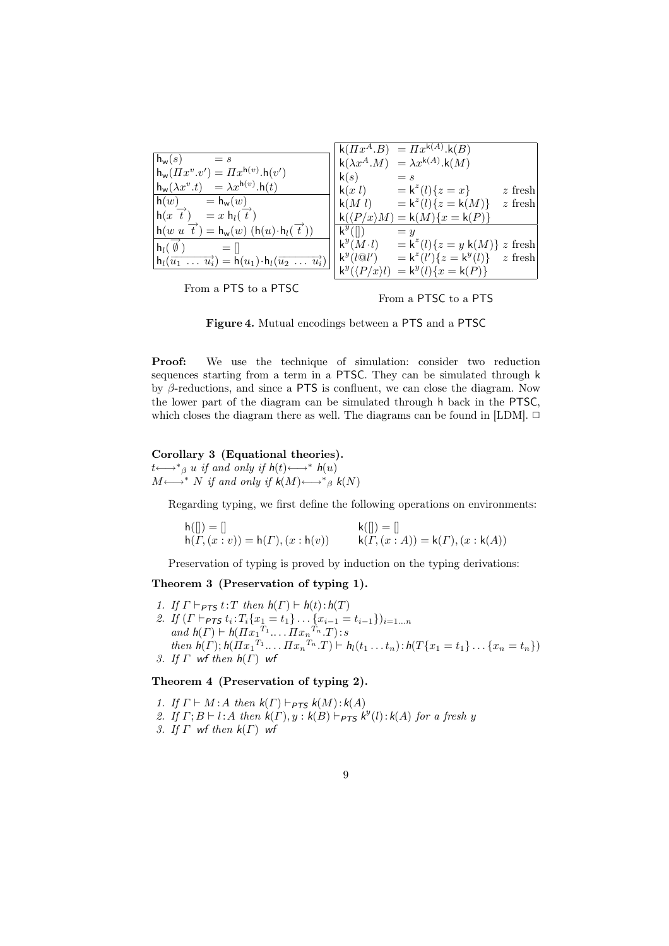|                                                                                |                             | $k(\Pi x^A.B) = \Pi x^{k(A)} \cdot k(B)$                                  |           |
|--------------------------------------------------------------------------------|-----------------------------|---------------------------------------------------------------------------|-----------|
| $h_w(s)$<br>$=$ $s$                                                            |                             | $k(\lambda x^A \cdot M) = \lambda x^{k(A)} \cdot k(M)$                    |           |
| $h_w(\Pi x^v \cdot v') = \Pi x^{h(v)} \cdot h(v')$                             | k(s)                        | $=$ s                                                                     |           |
| $h_w(\lambda x^v \cdot t) = \lambda x^{h(v)} \cdot h(t)$                       | k(x l)                      | $= k^{z}(l)\{z=x\}$                                                       | $z$ fresh |
| h(w)<br>$=$ h <sub>w</sub> $(w)$                                               | k(Ml)                       | $= k^{z}(l)\{z = k(M)\}\$                                                 | $z$ fresh |
| $\ln(x \overrightarrow{t})$<br>$= x h_l(t')$                                   |                             | $\mathsf{k}(\langle P/x \rangle M) = \mathsf{k}(M)\{x = \mathsf{k}(P)\}\$ |           |
| $h(w u \overrightarrow{t}) = h_w(w) (h(u) \cdot h_l(t))$                       | $k^y($ ]                    | $=$ $u$                                                                   |           |
| $h_l(\emptyset)$<br>$=$ $\parallel$                                            | $k^y(M \cdot l)$            | $= k^{z}(l)\{z=y(k(M)\}\ z$ fresh                                         |           |
| $h_l(\overline{u_1 \ldots u_i}) = h(u_1) \cdot h_l(\overline{u_2 \ldots u_i})$ | ${\sf k}^y(l@l')$           | $= k^{z}(l')\{z = k^{y}(l)\}\$ z fresh                                    |           |
|                                                                                | $k^y(\langle P/x\rangle l)$ | $= k^{y}(l)\{x = k(P)\}\$                                                 |           |

From a PTS to a PTSC

From a PTSC to a PTS

Figure 4. Mutual encodings between a PTS and a PTSC

Proof: We use the technique of simulation: consider two reduction sequences starting from a term in a PTSC. They can be simulated through k by  $\beta$ -reductions, and since a PTS is confluent, we can close the diagram. Now the lower part of the diagram can be simulated through h back in the PTSC, which closes the diagram there as well. The diagrams can be found in [LDM].  $\Box$ 

# Corollary 3 (Equational theories).

 $t \longleftrightarrow^*_{\beta} u$  if and only if  $h(t) \longleftrightarrow^* h(u)$  $M \longleftrightarrow^* N$  if and only if  $k(M) \longleftrightarrow^*_{\beta} k(N)$ 

Regarding typing, we first define the following operations on environments:

$$
h(||) = ||
$$
  
\n
$$
h(|) = ||
$$
  
\n
$$
h(\lceil) = \lceil
$$
  
\n
$$
h(\lceil) = \lceil
$$
  
\n
$$
k(|) = ||
$$
  
\n
$$
k(\lceil) = \lceil
$$
  
\n
$$
k(\lceil) = \lceil
$$
  
\n
$$
k(\lceil) = k(\lceil)
$$
  
\n
$$
k(\lceil) = k(\lceil)
$$
  
\n
$$
k(\lceil) = k(\lceil)
$$
  
\n
$$
k(\lceil) = k(\lceil)
$$
  
\n
$$
k(\lceil) = k(\lceil)
$$
  
\n
$$
k(\lceil)
$$

Preservation of typing is proved by induction on the typing derivations:

### Theorem 3 (Preservation of typing 1).

1. If  $\Gamma \vdash_{PTS} t:T$  then  $h(\Gamma) \vdash h(t): h(T)$ 2. If  $(\Gamma \vdash_{PTS} t_i : T_i \{x_1 = t_1\} \dots \{x_{i-1} = t_{i-1}\})_{i=1...n}$ and  $h(\Gamma) \vdash h(\Pi x_1^{T_1} \dots \Pi x_n^{T_n} \cdot T)$ : s then  $h(\Gamma)$ ;  $h(\Pi x_1^{T_1} \dots \Pi x_n^{T_n} \cdot T)$   $\vdash h_l(t_1 \dots t_n)$ :  $h(T\{x_1 = t_1\} \dots \{x_n = t_n\})$ 3. If  $\Gamma$  wf then  $h(\Gamma)$  wf

### Theorem 4 (Preservation of typing 2).

- 1. If  $\Gamma \vdash M : A$  then  $k(\Gamma) \vdash_{PTS} k(M) : k(A)$
- 2. If  $\Gamma$ ;  $B \vdash l$ : A then  $\mathsf{k}(\Gamma), \mathsf{y}$ :  $\mathsf{k}(B) \vdash_{PTS} \mathsf{k}^{\mathsf{y}}(l)$ :  $\mathsf{k}(A)$  for a fresh y
- 3. If  $\Gamma$  wf then  $k(\Gamma)$  wf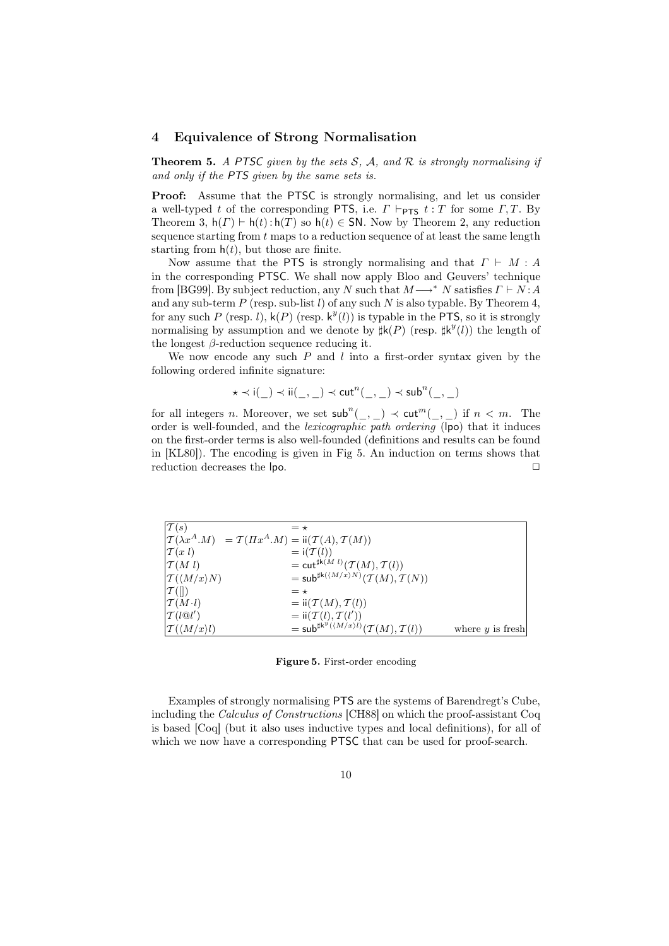### 4 Equivalence of Strong Normalisation

**Theorem 5.** A PTSC given by the sets  $S$ ,  $A$ , and  $R$  is strongly normalising if and only if the PTS given by the same sets is.

Proof: Assume that the PTSC is strongly normalising, and let us consider a well-typed t of the corresponding PTS, i.e.  $\Gamma \vdash_{\mathsf{PTS}} t : T$  for some  $\Gamma, T$ . By Theorem 3,  $h(\Gamma) \vdash h(t)$ :  $h(T)$  so  $h(t) \in SN$ . Now by Theorem 2, any reduction sequence starting from  $t$  maps to a reduction sequence of at least the same length starting from  $h(t)$ , but those are finite.

Now assume that the PTS is strongly normalising and that  $\Gamma \vdash M : A$ in the corresponding PTSC. We shall now apply Bloo and Geuvers' technique from [BG99]. By subject reduction, any N such that  $M \rightarrow^* N$  satisfies  $\Gamma \vdash N : A$ and any sub-term  $P$  (resp. sub-list l) of any such N is also typable. By Theorem 4, for any such P (resp. l),  $\mathsf{k}(P)$  (resp.  $\mathsf{k}^{y}(l)$ ) is typable in the PTS, so it is strongly normalising by assumption and we denote by  $\sharp k(P)$  (resp.  $\sharp k^y(l)$ ) the length of the longest  $\beta$ -reduction sequence reducing it.

We now encode any such  $P$  and  $l$  into a first-order syntax given by the following ordered infinite signature:

$$
\star \prec \mathsf{i}(\_) \prec \mathsf{ii}(\_,\_) \prec \mathsf{cut}^n(\_,\_) \prec \mathsf{sub}^n(\_,\_)
$$

for all integers *n*. Moreover, we set  $\mathsf{sub}^n(\ , \ ) \prec \mathsf{cut}^m(\ , \ )$  if  $n < m$ . The order is well-founded, and the *lexicographic path ordering* (lpo) that it induces on the first-order terms is also well-founded (definitions and results can be found in [KL80]). The encoding is given in Fig 5. An induction on terms shows that reduction decreases the  $|po.$ 

| $\mathcal{T}(s)$                                                                                                | $=$ $\star$                                                                                              |                    |
|-----------------------------------------------------------------------------------------------------------------|----------------------------------------------------------------------------------------------------------|--------------------|
| $\mathcal{T}(\lambda x^A \cdot M) = \mathcal{T}(\Pi x^A \cdot M) = \mathsf{ii}(\mathcal{T}(A), \mathcal{T}(M))$ |                                                                                                          |                    |
| $\mathcal{T}(x \, l)$                                                                                           | $= i(\mathcal{T}(l))$                                                                                    |                    |
| $\mathcal{T}(M_l)$                                                                                              | $=$ cut <sup>#k(M l)</sup> (T(M), T(l))                                                                  |                    |
| $\mathcal{T}(\langle M/x\rangle N)$                                                                             | $=$ sub <sup>#k(<math>(M/x)N</math></sup> ) $(\mathcal{T}(M), \mathcal{T}(N))$                           |                    |
| $\mathcal{T}(\mathcal{L})$                                                                                      | $=$ $\star$                                                                                              |                    |
| $\mathcal{T}(M\cdot l)$                                                                                         | $=$ ii $(\mathcal{T}(M), \mathcal{T}(l))$                                                                |                    |
| $\mathcal{T}(l@l')$                                                                                             | $=$ ii $(\mathcal{T}(l), \mathcal{T}(l'))$                                                               |                    |
| $\mathcal{T}(\langle M/x\rangle l)$                                                                             | $=$ sub <sup>#k<sup>y</sup>(<math>\langle M/x \rangle l</math>)</sup> $(\mathcal{T}(M), \mathcal{T}(l))$ | where $y$ is fresh |

Figure 5. First-order encoding

Examples of strongly normalising PTS are the systems of Barendregt's Cube, including the Calculus of Constructions [CH88] on which the proof-assistant Coq is based [Coq] (but it also uses inductive types and local definitions), for all of which we now have a corresponding PTSC that can be used for proof-search.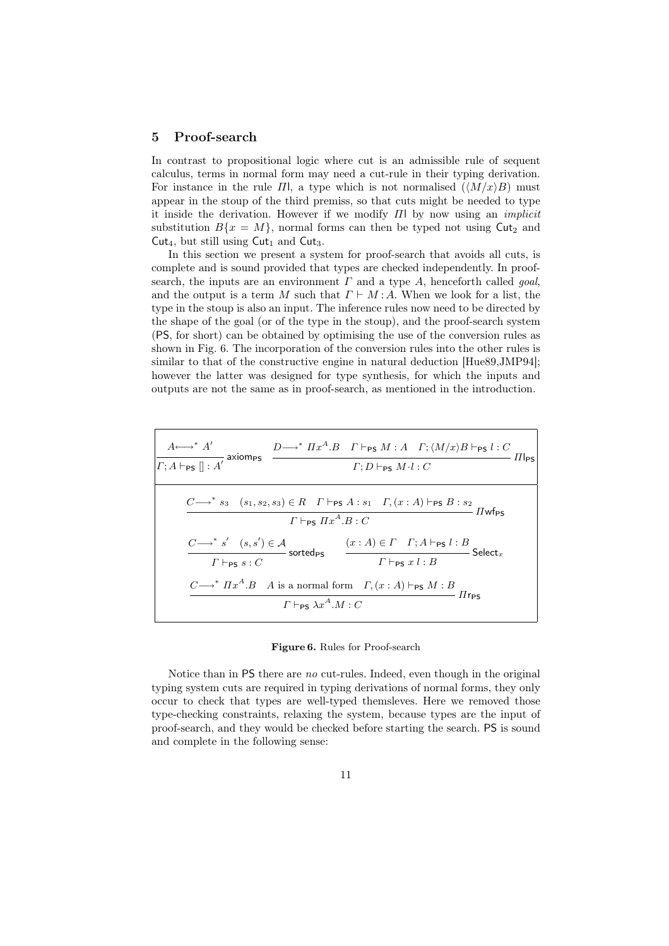## 5 Proof-search

In contrast to propositional logic where cut is an admissible rule of sequent calculus, terms in normal form may need a cut-rule in their typing derivation. For instance in the rule  $\Pi$ , a type which is not normalised  $(\langle M/x \rangle B)$  must appear in the stoup of the third premiss, so that cuts might be needed to type it inside the derivation. However if we modify  $\Pi$  by now using an *implicit* substitution  $B\{x = M\}$ , normal forms can then be typed not using  $\text{Cut}_2$  and Cut<sub>4</sub>, but still using  $Cut_1$  and  $Cut_3$ .

In this section we present a system for proof-search that avoids all cuts, is complete and is sound provided that types are checked independently. In proofsearch, the inputs are an environment  $\Gamma$  and a type  $A$ , henceforth called *goal*, and the output is a term M such that  $\Gamma \vdash M : A$ . When we look for a list, the type in the stoup is also an input. The inference rules now need to be directed by the shape of the goal (or of the type in the stoup), and the proof-search system (PS, for short) can be obtained by optimising the use of the conversion rules as shown in Fig. 6. The incorporation of the conversion rules into the other rules is similar to that of the constructive engine in natural deduction [Hue89,JMP94]; however the latter was designed for type synthesis, for which the inputs and outputs are not the same as in proof-search, as mentioned in the introduction.

| $A \leftrightarrow^* A'$<br>$\overline{\overline{\Gamma; A\vdash_{\mathsf{PS}}\left[  :A' \right] }}$ axiom <sub>PS</sub> | $D \longrightarrow^* I\!\!R^A.B \quad I \vdash_{\mathsf{PS}} M:A \quad \Gamma; \langle M/x \rangle B \vdash_{\mathsf{PS}} l:C$<br>$\Pi$ <sub>ps</sub><br>$\overline{\Gamma;D\vdash_{\textsf{PS}} M\!\cdot\! l:C}$                                      |
|---------------------------------------------------------------------------------------------------------------------------|--------------------------------------------------------------------------------------------------------------------------------------------------------------------------------------------------------------------------------------------------------|
|                                                                                                                           | $C \longrightarrow^* s_3$ $(s_1, s_2, s_3) \in R$ $\Gamma \vdash_{PS} A : s_1$ $\Gamma, (x : A) \vdash_{PS} B : s_2$<br>$ \overline{U}$ wfps<br>$\Gamma \vdash_{\mathsf{PS}} \Pi x^A . B : C$                                                          |
|                                                                                                                           | $\cfrac{C \longrightarrow^* s' \quad (s,s') \in \mathcal{A}}{\Gamma \vdash_{\mathsf{PS}} s:C} \quad \text{sortedps} \quad \cfrac{(x:A) \in \Gamma \quad \Gamma; A \vdash_{\mathsf{PS}} l:B}{\Gamma \vdash_{\mathsf{PS}} x \ l:B} \; \mathsf{Select}_x$ |
|                                                                                                                           | $C \longrightarrow^* \Pi x^A.B$ A is a normal form $\Gamma, (x : A) \vdash_{\mathsf{PS}} M : B$<br>$\pi$ res<br>$\Gamma \vdash_{\mathsf{PS}} \lambda x^A.M : C$                                                                                        |

#### Figure 6. Rules for Proof-search

Notice than in PS there are no cut-rules. Indeed, even though in the original typing system cuts are required in typing derivations of normal forms, they only occur to check that types are well-typed themsleves. Here we removed those type-checking constraints, relaxing the system, because types are the input of proof-search, and they would be checked before starting the search. PS is sound and complete in the following sense: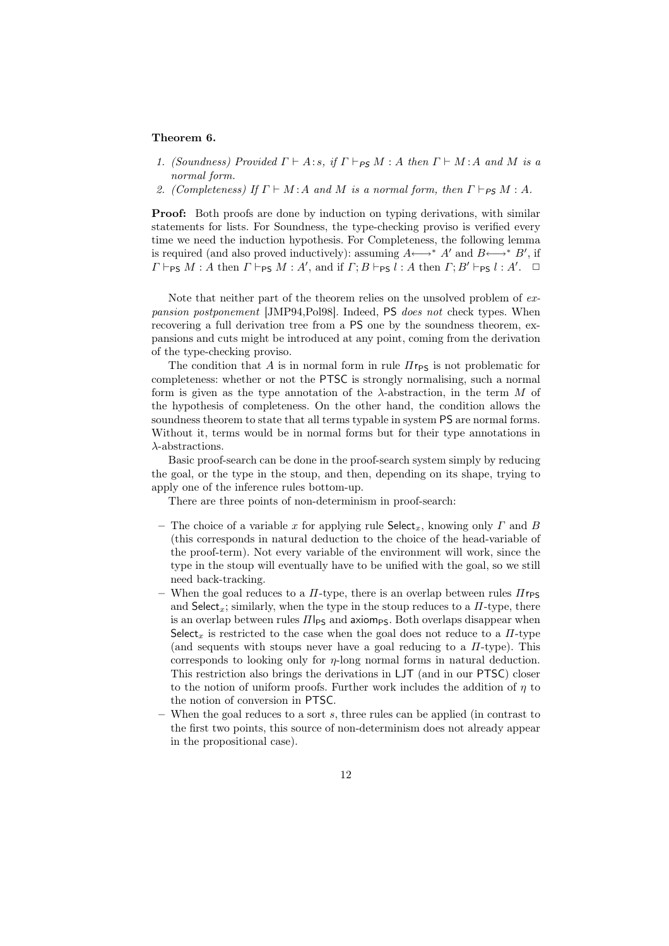#### Theorem 6.

- 1. (Soundness) Provided  $\Gamma \vdash A : s$ , if  $\Gamma \vdash_{PS} M : A$  then  $\Gamma \vdash M : A$  and M is a normal form.
- 2. (Completeness) If  $\Gamma \vdash M : A$  and M is a normal form, then  $\Gamma \vdash_{PS} M : A$ .

Proof: Both proofs are done by induction on typing derivations, with similar statements for lists. For Soundness, the type-checking proviso is verified every time we need the induction hypothesis. For Completeness, the following lemma is required (and also proved inductively): assuming  $A \leftrightarrow A'$  and  $B \leftrightarrow B'$ , if  $\Gamma \vdash_{\mathsf{PS}} M : A \text{ then } \Gamma \vdash_{\mathsf{PS}} M : A', \text{ and if } \Gamma; B \vdash_{\mathsf{PS}} l : A \text{ then } \Gamma; B' \vdash_{\mathsf{PS}} l : A'. \square$ 

Note that neither part of the theorem relies on the unsolved problem of expansion postponement [JMP94,Pol98]. Indeed, PS does not check types. When recovering a full derivation tree from a PS one by the soundness theorem, expansions and cuts might be introduced at any point, coming from the derivation of the type-checking proviso.

The condition that A is in normal form in rule  $\pi_{\text{PS}}$  is not problematic for completeness: whether or not the PTSC is strongly normalising, such a normal form is given as the type annotation of the  $\lambda$ -abstraction, in the term M of the hypothesis of completeness. On the other hand, the condition allows the soundness theorem to state that all terms typable in system PS are normal forms. Without it, terms would be in normal forms but for their type annotations in  $\lambda$ -abstractions.

Basic proof-search can be done in the proof-search system simply by reducing the goal, or the type in the stoup, and then, depending on its shape, trying to apply one of the inference rules bottom-up.

There are three points of non-determinism in proof-search:

- The choice of a variable x for applying rule  $\mathsf{Select}_x$ , knowing only  $\Gamma$  and  $\overline{B}$ (this corresponds in natural deduction to the choice of the head-variable of the proof-term). Not every variable of the environment will work, since the type in the stoup will eventually have to be unified with the goal, so we still need back-tracking.
- When the goal reduces to a  $\Pi$ -type, there is an overlap between rules  $\Pi$ r<sub>PS</sub> and Select<sub>x</sub>; similarly, when the type in the stoup reduces to a  $\Pi$ -type, there is an overlap between rules  $\Pi|_{PS}$  and axiomps. Both overlaps disappear when Select<sub>x</sub> is restricted to the case when the goal does not reduce to a  $\Pi$ -type (and sequents with stoups never have a goal reducing to a  $\Pi$ -type). This corresponds to looking only for η-long normal forms in natural deduction. This restriction also brings the derivations in LJT (and in our PTSC) closer to the notion of uniform proofs. Further work includes the addition of  $\eta$  to the notion of conversion in PTSC.
- When the goal reduces to a sort s, three rules can be applied (in contrast to the first two points, this source of non-determinism does not already appear in the propositional case).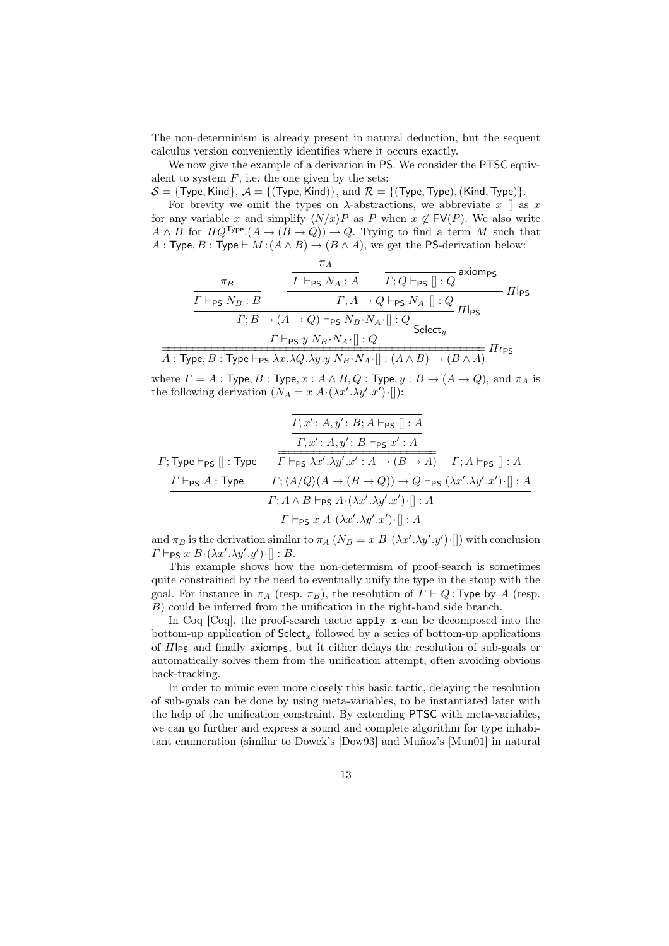The non-determinism is already present in natural deduction, but the sequent calculus version conveniently identifies where it occurs exactly.

We now give the example of a derivation in PS. We consider the PTSC equivalent to system  $F$ , i.e. the one given by the sets:

 $S = \{Type, Kind\}, \mathcal{A} = \{ (Type, Kind)\}, \text{ and } \mathcal{R} = \{ (Type, Type), (Kind, Type)\}.$ 

For brevity we omit the types on  $\lambda$ -abstractions, we abbreviate x  $\lceil \cdot \rceil$  as x for any variable x and simplify  $\langle N/x \rangle P$  as P when  $x \notin FV(P)$ . We also write  $A \wedge B$  for  $\Pi Q^{\text{Type}}.(A \rightarrow (B \rightarrow Q)) \rightarrow Q$ . Trying to find a term M such that A : Type, B : Type  $\vdash M : (A \land B) \rightarrow (B \land A)$ , we get the PS-derivation below:

$$
\frac{\pi_B}{\frac{\Gamma \vdash_{\mathsf{PS}} N_B:B}{\frac{\Gamma \vdash_{\mathsf{PS}} N_B:B}{\frac{\Gamma; B \rightarrow (A \rightarrow Q) \vdash_{\mathsf{PS}} N_A \cdot []:Q}{\Gamma; A \rightarrow Q \vdash_{\mathsf{PS}} N_A \cdot []:Q}} \Pi \mid_{\mathsf{PS}}}{\frac{\Gamma; B \rightarrow (A \rightarrow Q) \vdash_{\mathsf{PS}} N_B \cdot N_A \cdot []:Q}{\Gamma \vdash_{\mathsf{PS}} y \ N_B \cdot N_A \cdot []:Q} \cdot \frac{\Gamma \vdash_{\mathsf{PS}} y \ N_B \cdot N_A \cdot []:Q}{\Gamma \vdash_{\mathsf{PS}} y \ N_B \cdot N_A \cdot []: (A \land B) \rightarrow (B \land A)} \ \Pi \mathsf{r}_{\mathsf{PS}}
$$

where  $\Gamma = A$ : Type,  $B$ : Type,  $x : A \wedge B$ ,  $Q :$  Type,  $y : B \rightarrow (A \rightarrow Q)$ , and  $\pi_A$  is the following derivation  $(N_A = x A \cdot (\lambda x' . \lambda y' . x') \cdot []$ :

|                                                    | $\Gamma, x' : A, y' : B; A \vdash_{\mathsf{PS}} [] : A$                                                             |  |
|----------------------------------------------------|---------------------------------------------------------------------------------------------------------------------|--|
|                                                    | $\Gamma, x' : A, y' : B \vdash_{\mathsf{PS}} x' : A$                                                                |  |
| $\varGamma;$ Type $\vdash_{\mathsf{PS}} [] :$ Type | $\Gamma \vdash_{\mathsf{PS}} \lambda x'.\lambda y'.x': A \to (B \to A)$ $\Gamma; A \vdash_{\mathsf{PS}} \Gamma : A$ |  |
| $\Gamma\vdash_{\mathsf{PS}} A:\mathsf{Type}$       | $\Gamma$ ; $\langle A/Q \rangle (A \to (B \to Q)) \to Q \vdash_{PS} (\lambda x' . \lambda y' . x') \cdot [] : A$    |  |
|                                                    | $\Gamma; A \wedge B \vdash_{\mathsf{PS}} A \cdot (\lambda x' \cdot \lambda y' \cdot x') \cdot    : A$               |  |
|                                                    | $\Gamma \vdash_{\mathsf{PS}} x A \cdot (\lambda x' . \lambda y' . x') \cdot [] : A$                                 |  |

and  $\pi_B$  is the derivation similar to  $\pi_A(N_B = x B \cdot (\lambda x' \cdot \lambda y' \cdot y') \cdot []$  with conclusion  $\Gamma \vdash_{\mathsf{PS}} x B \cdot (\lambda x' . \lambda y' . y') \cdot [] : B.$ 

This example shows how the non-determism of proof-search is sometimes quite constrained by the need to eventually unify the type in the stoup with the goal. For instance in  $\pi_A$  (resp.  $\pi_B$ ), the resolution of  $\Gamma \vdash Q$ : Type by A (resp. B) could be inferred from the unification in the right-hand side branch.

In Coq [Coq], the proof-search tactic apply x can be decomposed into the bottom-up application of  $\mathsf{Select}_x$  followed by a series of bottom-up applications of  $\Pi$ <sub>PS</sub> and finally axiom<sub>PS</sub>, but it either delays the resolution of sub-goals or automatically solves them from the unification attempt, often avoiding obvious back-tracking.

In order to mimic even more closely this basic tactic, delaying the resolution of sub-goals can be done by using meta-variables, to be instantiated later with the help of the unification constraint. By extending PTSC with meta-variables, we can go further and express a sound and complete algorithm for type inhabitant enumeration (similar to Dowek's [Dow93] and Muñoz's [Mun01] in natural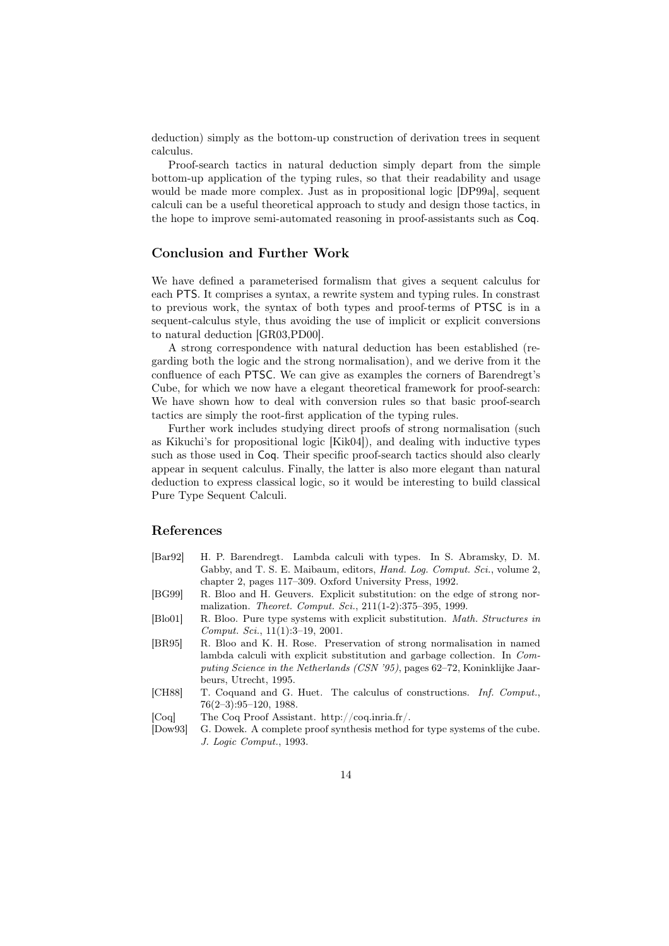deduction) simply as the bottom-up construction of derivation trees in sequent calculus.

Proof-search tactics in natural deduction simply depart from the simple bottom-up application of the typing rules, so that their readability and usage would be made more complex. Just as in propositional logic [DP99a], sequent calculi can be a useful theoretical approach to study and design those tactics, in the hope to improve semi-automated reasoning in proof-assistants such as Coq.

## Conclusion and Further Work

We have defined a parameterised formalism that gives a sequent calculus for each PTS. It comprises a syntax, a rewrite system and typing rules. In constrast to previous work, the syntax of both types and proof-terms of PTSC is in a sequent-calculus style, thus avoiding the use of implicit or explicit conversions to natural deduction [GR03,PD00].

A strong correspondence with natural deduction has been established (regarding both the logic and the strong normalisation), and we derive from it the confluence of each PTSC. We can give as examples the corners of Barendregt's Cube, for which we now have a elegant theoretical framework for proof-search: We have shown how to deal with conversion rules so that basic proof-search tactics are simply the root-first application of the typing rules.

Further work includes studying direct proofs of strong normalisation (such as Kikuchi's for propositional logic [Kik04]), and dealing with inductive types such as those used in Coq. Their specific proof-search tactics should also clearly appear in sequent calculus. Finally, the latter is also more elegant than natural deduction to express classical logic, so it would be interesting to build classical Pure Type Sequent Calculi.

## References

- [Bar92] H. P. Barendregt. Lambda calculi with types. In S. Abramsky, D. M. Gabby, and T. S. E. Maibaum, editors, Hand. Log. Comput. Sci., volume 2, chapter 2, pages 117–309. Oxford University Press, 1992.
- [BG99] R. Bloo and H. Geuvers. Explicit substitution: on the edge of strong normalization. Theoret. Comput. Sci., 211(1-2):375–395, 1999.
- [Blo01] R. Bloo. Pure type systems with explicit substitution. Math. Structures in Comput. Sci., 11(1):3–19, 2001.
- [BR95] R. Bloo and K. H. Rose. Preservation of strong normalisation in named lambda calculi with explicit substitution and garbage collection. In Computing Science in the Netherlands (CSN '95), pages 62–72, Koninklijke Jaarbeurs, Utrecht, 1995.
- [CH88] T. Coquand and G. Huet. The calculus of constructions. Inf. Comput., 76(2–3):95–120, 1988.
- [Coq] The Coq Proof Assistant. http://coq.inria.fr/.
- [Dow93] G. Dowek. A complete proof synthesis method for type systems of the cube. J. Logic Comput., 1993.